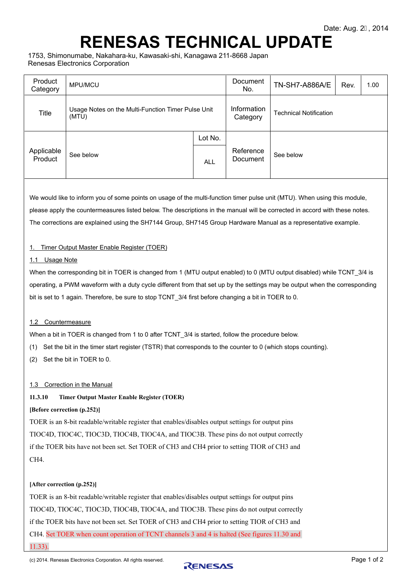# **RENESAS TECHNICAL UPDATE**

1753, Shimonumabe, Nakahara-ku, Kawasaki-shi, Kanagawa 211-8668 Japan Renesas Electronics Corporation

| Product<br>Category   | <b>MPU/MCU</b>                                              |            | Document<br>No.         | <b>TN-SH7-A886A/E</b>         | Rev. | 1.00 |
|-----------------------|-------------------------------------------------------------|------------|-------------------------|-------------------------------|------|------|
| <b>Title</b>          | Usage Notes on the Multi-Function Timer Pulse Unit<br>(MTU) |            | Information<br>Category | <b>Technical Notification</b> |      |      |
| Applicable<br>Product | See below                                                   | Lot No.    |                         |                               |      |      |
|                       |                                                             | <b>ALL</b> | Reference<br>Document   | See below                     |      |      |

We would like to inform you of some points on usage of the multi-function timer pulse unit (MTU). When using this module, please apply the countermeasures listed below. The descriptions in the manual will be corrected in accord with these notes. The corrections are explained using the SH7144 Group, SH7145 Group Hardware Manual as a representative example.

### 1. Timer Output Master Enable Register (TOER)

1.1 Usage Note

When the corresponding bit in TOER is changed from 1 (MTU output enabled) to 0 (MTU output disabled) while TCNT 3/4 is operating, a PWM waveform with a duty cycle different from that set up by the settings may be output when the corresponding bit is set to 1 again. Therefore, be sure to stop TCNT 3/4 first before changing a bit in TOER to 0.

### 1.2 Countermeasure

When a bit in TOER is changed from 1 to 0 after TCNT\_3/4 is started, follow the procedure below.

- (1) Set the bit in the timer start register (TSTR) that corresponds to the counter to 0 (which stops counting).
- (2) Set the bit in TOER to 0.

### 1.3 Correction in the Manual

### **11.3.10 Timer Output Master Enable Register (TOER)**

### **[Before correction (p.252)]**

TOER is an 8-bit readable/writable register that enables/disables output settings for output pins TIOC4D, TIOC4C, TIOC3D, TIOC4B, TIOC4A, and TIOC3B. These pins do not output correctly if the TOER bits have not been set. Set TOER of CH3 and CH4 prior to setting TIOR of CH3 and CH<sub>4</sub>

### **[After correction (p.252)]**

TOER is an 8-bit readable/writable register that enables/disables output settings for output pins TIOC4D, TIOC4C, TIOC3D, TIOC4B, TIOC4A, and TIOC3B. These pins do not output correctly if the TOER bits have not been set. Set TOER of CH3 and CH4 prior to setting TIOR of CH3 and CH4. Set TOER when count operation of TCNT channels 3 and 4 is halted (See figures 11.30 and 11.33).